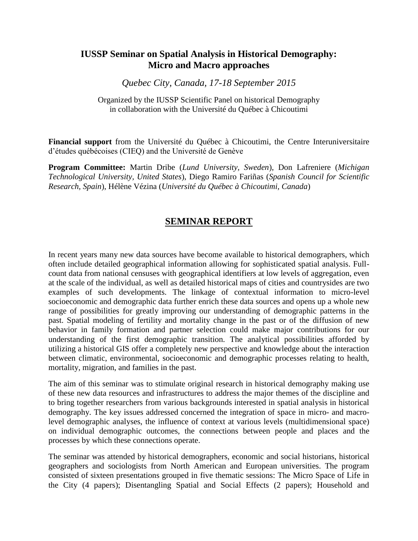#### **IUSSP Seminar on Spatial Analysis in Historical Demography: Micro and Macro approaches**

*Quebec City, Canada, 17-18 September 2015*

Organized by the IUSSP Scientific Panel on historical Demography in collaboration with the Université du Québec à Chicoutimi

**Financial support** from the Université du Québec à Chicoutimi, the Centre Interuniversitaire d'études québécoises (CIEQ) and the Université de Genève

**Program Committee:** Martin Dribe (*Lund University, Sweden*), Don Lafreniere (*Michigan Technological University, United States*), Diego Ramiro Fariñas (*Spanish Council for Scientific Research, Spain*), Hélène Vézina (*Université du Québec à Chicoutimi, Canada*)

#### **SEMINAR REPORT**

In recent years many new data sources have become available to historical demographers, which often include detailed geographical information allowing for sophisticated spatial analysis. Fullcount data from national censuses with geographical identifiers at low levels of aggregation, even at the scale of the individual, as well as detailed historical maps of cities and countrysides are two examples of such developments. The linkage of contextual information to micro-level socioeconomic and demographic data further enrich these data sources and opens up a whole new range of possibilities for greatly improving our understanding of demographic patterns in the past. Spatial modeling of fertility and mortality change in the past or of the diffusion of new behavior in family formation and partner selection could make major contributions for our understanding of the first demographic transition. The analytical possibilities afforded by utilizing a historical GIS offer a completely new perspective and knowledge about the interaction between climatic, environmental, socioeconomic and demographic processes relating to health, mortality, migration, and families in the past.

The aim of this seminar was to stimulate original research in historical demography making use of these new data resources and infrastructures to address the major themes of the discipline and to bring together researchers from various backgrounds interested in spatial analysis in historical demography. The key issues addressed concerned the integration of space in micro- and macrolevel demographic analyses, the influence of context at various levels (multidimensional space) on individual demographic outcomes, the connections between people and places and the processes by which these connections operate.

The seminar was attended by historical demographers, economic and social historians, historical geographers and sociologists from North American and European universities. The program consisted of sixteen presentations grouped in five thematic sessions: The Micro Space of Life in the City (4 papers); Disentangling Spatial and Social Effects (2 papers); Household and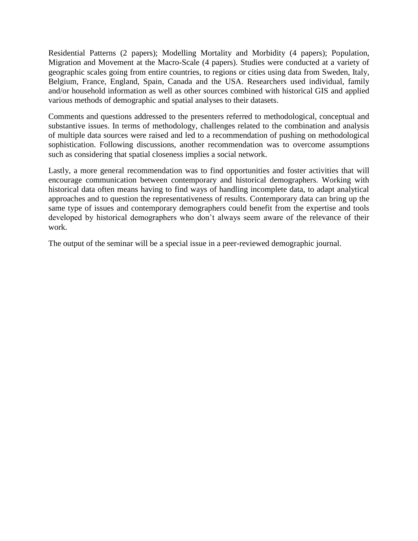Residential Patterns (2 papers); Modelling Mortality and Morbidity (4 papers); Population, Migration and Movement at the Macro-Scale (4 papers). Studies were conducted at a variety of geographic scales going from entire countries, to regions or cities using data from Sweden, Italy, Belgium, France, England, Spain, Canada and the USA. Researchers used individual, family and/or household information as well as other sources combined with historical GIS and applied various methods of demographic and spatial analyses to their datasets.

Comments and questions addressed to the presenters referred to methodological, conceptual and substantive issues. In terms of methodology, challenges related to the combination and analysis of multiple data sources were raised and led to a recommendation of pushing on methodological sophistication. Following discussions, another recommendation was to overcome assumptions such as considering that spatial closeness implies a social network.

Lastly, a more general recommendation was to find opportunities and foster activities that will encourage communication between contemporary and historical demographers. Working with historical data often means having to find ways of handling incomplete data, to adapt analytical approaches and to question the representativeness of results. Contemporary data can bring up the same type of issues and contemporary demographers could benefit from the expertise and tools developed by historical demographers who don't always seem aware of the relevance of their work.

The output of the seminar will be a special issue in a peer-reviewed demographic journal.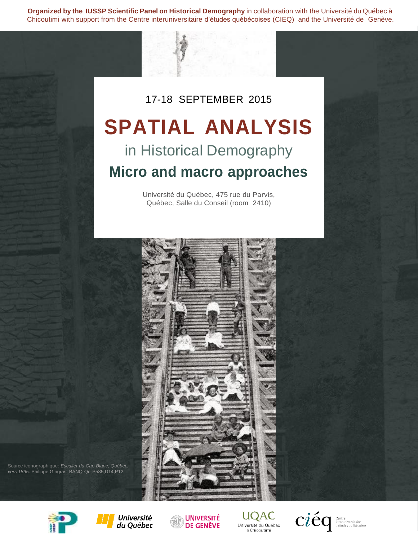**Organized by the IUSSP Scientific Panel on Historical Demography** in collaboration with the Université du Québec à Chicoutimi with support from the Centre interuniversitaire d'études québécoises (CIEQ) and the Université de Genève.

## 17-18 SEPTEMBER 2015 **SPATIAL ANALYSIS** in Historical Demography **Micro and macro approaches**

Université du Québec, 475 rue du Parvis, Québec, Salle du Conseil (room 2410)



Source iconographique: *Escalier du Cap-Blanc, Québec, vers 1895.* Philippe Gingras. BANQ-Qc,P585,D14,P12.









**UQAC** Université du Québec à Chicoutimi

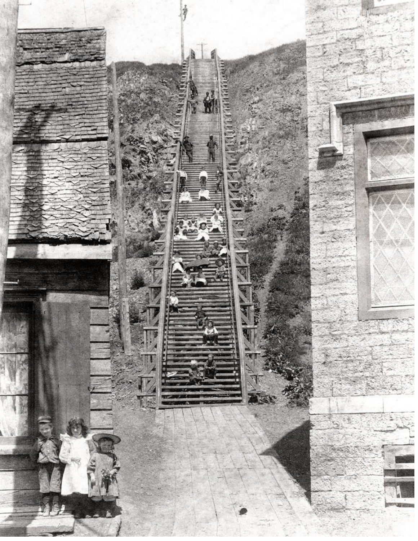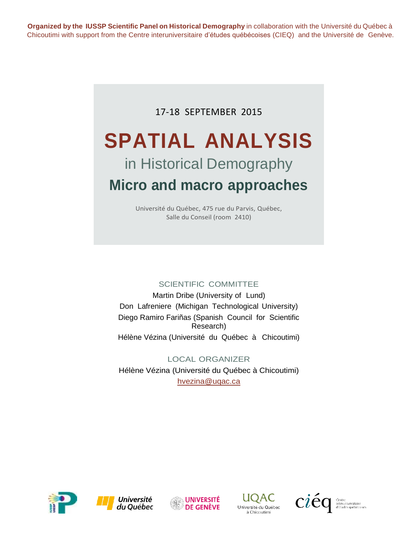**Organized by the IUSSP Scientific Panel on Historical Demography** in collaboration with the Université du Québec à Chicoutimi with support from the Centre interuniversitaire d'études québécoises (CIEQ) and the Université de Genève.

#### 17-18 SEPTEMBER 2015

## **SPATIAL ANALYSIS**

### in Historical Demography **Micro and macro approaches**

Université du Québec, 475 rue du Parvis, Québec, Salle du Conseil (room 2410)

#### SCIENTIFIC COMMITTEE

Martin Dribe (University of Lund) Don Lafreniere (Michigan Technological University) Diego Ramiro Fariñas (Spanish Council for Scientific Research) Hélène Vézina (Université du Québec à Chicoutimi)

LOCAL ORGANIZER Hélène Vézina (Université du Québec à Chicoutimi) [hvezina@uqac.ca](mailto:hvezina@uqac.ca)









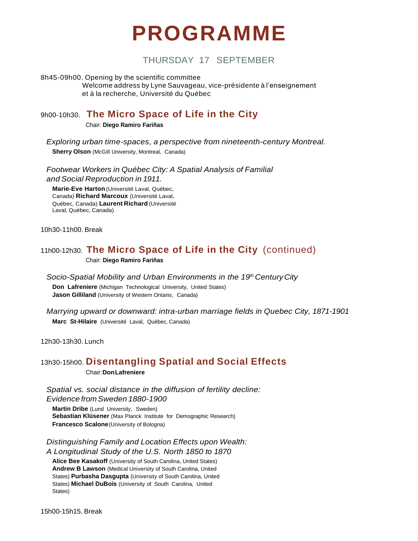

#### THURSDAY 17 SEPTEMBER

8h45-09h00. Opening by the scientific committee

Welcome address by Lyne Sauvageau, vice-présidente à l'enseignement et à la recherche, Université du Québec

#### 9h00-10h30. **The Micro Space of Life in the City**

Chair: **Diego Ramiro Fariñas**

*Exploring urban time-spaces, a perspective from nineteenth-century Montreal.* **Sherry Olson** (McGill University, Montreal, Canada)

*Footwear Workers in Québec City: A Spatial Analysis of Familial and Social Reproduction in 1911.*

**Marie-Eve Harton**(Université Laval, Québec, Canada) **Richard Marcoux** (Université Laval, Québec, Canada) **Laurent Richard** (Université Laval, Québec, Canada)

10h30-11h00. Break

#### 11h00-12h30. **The Micro Space of Life in the City** (continued) Chair: **Diego Ramiro Fariñas**

*Socio-Spatial Mobility and Urban Environments in the 19th CenturyCity* **Don Lafreniere** (Michigan Technological University, United States) **Jason Gilliland** (University of Western Ontario, Canada)

*Marrying upward or downward: intra-urban marriage fields in Quebec City, 1871-1901* **Marc St-Hilaire** (Université Laval, Québec, Canada)

12h30-13h30. Lunch

#### 13h30-15h00. **Disentangling Spatial and Social Effects**

Chair:**DonLafreniere**

*Spatial vs. social distance in the diffusion of fertility decline: Evidence from Sweden 1880-1900*

**Martin Dribe** (Lund University, Sweden) **Sebastian Klüsener** (Max Planck Institute for Demographic Research) **Francesco Scalone**(University of Bologna)

*Distinguishing Family and Location Effects upon Wealth: A Longitudinal Study of the U.S. North 1850 to 1870*

**Alice Bee Kasakoff** (University of South Carolina, United States) **Andrew B Lawson** (Medical University of South Carolina, United States) **Purbasha Dasgupta** (University of South Carolina, United States) **Michael DuBois** (University of South Carolina, United States)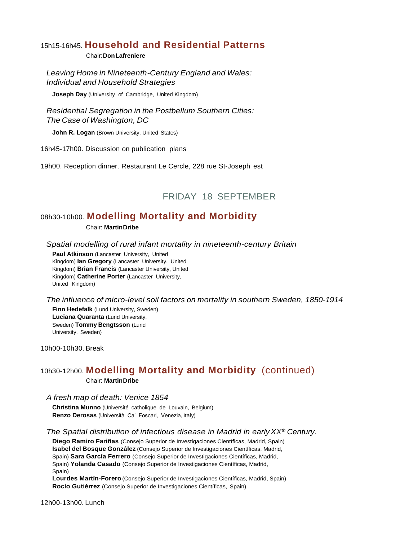#### 15h15-16h45. **Household and Residential Patterns**

Chair:**DonLafreniere**

*Leaving Home in Nineteenth-Century England and Wales: Individual and Household Strategies*

**Joseph Day** (University of Cambridge, United Kingdom)

*Residential Segregation in the Postbellum Southern Cities: The Case of Washington, DC*

**John R. Logan** (Brown University, United States)

16h45-17h00. Discussion on publication plans

19h00. Reception dinner. Restaurant Le Cercle, 228 rue St-Joseph est

#### FRIDAY 18 SEPTEMBER

#### 08h30-10h00. **Modelling Mortality and Morbidity** Chair: **MartinDribe**

*Spatial modelling of rural infant mortality in nineteenth-century Britain*

**Paul Atkinson** (Lancaster University, United Kingdom) **Ian Gregory** (Lancaster University, United Kingdom) **Brian Francis** (Lancaster University, United Kingdom) **Catherine Porter** (Lancaster University, United Kingdom)

*The influence of micro-level soil factors on mortality in southern Sweden, 1850-1914*

**Finn Hedefalk** (Lund University, Sweden) **Luciana Quaranta** (Lund University, Sweden) **Tommy Bengtsson** (Lund University, Sweden)

10h00-10h30. Break

#### 10h30-12h00. **Modelling Mortality and Morbidity** (continued) Chair: **MartinDribe**

#### *A fresh map of death: Venice 1854*

**Christina Munno** (Université catholique de Louvain, Belgium) **Renzo Derosas** (Università Ca' Foscari, Venezia, Italy)

*The Spatial distribution of infectious disease in Madrid in earlyXXth Century.*

**Diego Ramiro Fariñas** (Consejo Superior de Investigaciones Científicas, Madrid, Spain) **Isabel del Bosque González** (Consejo Superior de Investigaciones Científicas, Madrid, Spain) **Sara García Ferrero** (Consejo Superior de Investigaciones Científicas, Madrid, Spain) **Yolanda Casado** (Consejo Superior de Investigaciones Científicas, Madrid, Spain)

**Lourdes Martín-Forero** (Consejo Superior de Investigaciones Científicas, Madrid, Spain) **Rocío Gutiérrez** (Consejo Superior de Investigaciones Científicas, Spain)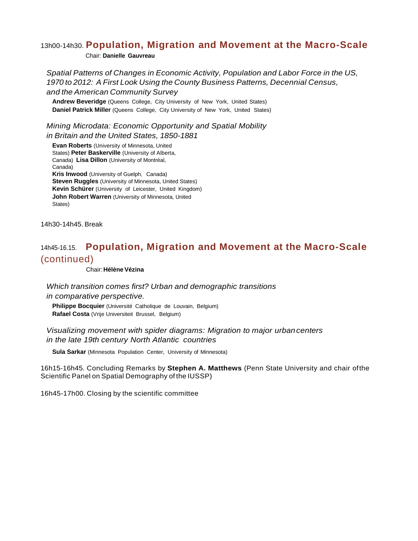#### 13h00-14h30. **Population, Migration and Movement at the Macro-Scale**

Chair: **Danielle Gauvreau**

*Spatial Patterns of Changes in Economic Activity, Population and Labor Force in the US, 1970 to 2012: A First Look Using the County Business Patterns, Decennial Census, and the American Community Survey*

**Andrew Beveridge** (Queens College, City University of New York, United States) **Daniel Patrick Miller** (Queens College, City University of New York, United States)

*Mining Microdata: Economic Opportunity and Spatial Mobility in Britain and the United States, 1850-1881*

**Evan Roberts** (University of Minnesota, United States) **Peter Baskerville** (University of Alberta, Canada) **Lisa Dillon** (University of Montréal, Canada) **Kris Inwood** (University of Guelph, Canada) **Steven Ruggles** (University of Minnesota, United States) **Kevin Schürer** (University of Leicester, United Kingdom) **John Robert Warren** (University of Minnesota, United States)

14h30-14h45. Break

#### 14h45-16.15. **Population, Migration and Movement at the Macro-Scale** (continued)

Chair:**Hélène Vézina**

*Which transition comes first? Urban and demographic transitions in comparative perspective.*

**Philippe Bocquier** (Université Catholique de Louvain, Belgium) **Rafael Costa** (Vrije Universiteit Brussel, Belgium)

*Visualizing movement with spider diagrams: Migration to major urbancenters in the late 19th century North Atlantic countries*

**Sula Sarkar** (Minnesota Population Center, University of Minnesota)

16h15-16h45. Concluding Remarks by **Stephen A. Matthews** (Penn State University and chair ofthe Scientific Panel on Spatial Demography of the IUSSP)

16h45-17h00. Closing by the scientific committee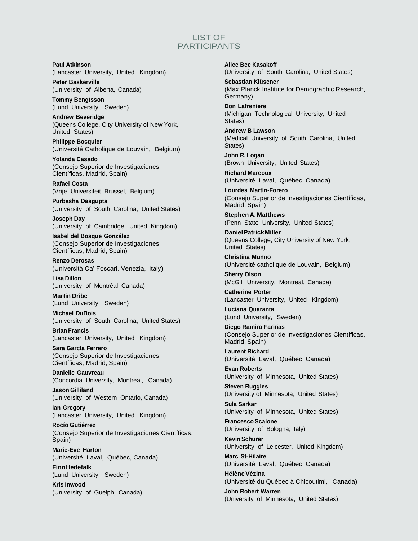#### LIST OF PARTICIPANTS

**Paul Atkinson** (Lancaster University, United Kingdom)

**Peter Baskerville** (University of Alberta, Canada)

**Tommy Bengtsson** (Lund University, Sweden)

**Andrew Beveridge** (Queens College, City University of New York, United States)

**Philippe Bocquier** (Université Catholique de Louvain, Belgium)

**Yolanda Casado** (Consejo Superior de Investigaciones Científicas, Madrid, Spain)

**Rafael Costa** (Vrije Universiteit Brussel, Belgium)

**Purbasha Dasgupta** (University of South Carolina, United States)

**Joseph Day** (University of Cambridge, United Kingdom)

**Isabel del Bosque González** (Consejo Superior de Investigaciones Científicas, Madrid, Spain)

**Renzo Derosas** (Università Ca' Foscari, Venezia, Italy)

**Lisa Dillon** (University of Montréal, Canada)

**Martin Dribe** (Lund University, Sweden)

**Michael DuBois** (University of South Carolina, United States)

**Brian Francis** (Lancaster University, United Kingdom)

**Sara García Ferrero** (Consejo Superior de Investigaciones Científicas, Madrid, Spain)

**Danielle Gauvreau** (Concordia University, Montreal, Canada)

**Jason Gilliland** (University of Western Ontario, Canada)

**Ian Gregory** (Lancaster University, United Kingdom)

**Rocío Gutiérrez** (Consejo Superior de Investigaciones Científicas, Spain)

**Marie-Eve Harton** (Université Laval, Québec, Canada)

**FinnHedefalk** (Lund University, Sweden)

**Kris Inwood** (University of Guelph, Canada) **Alice Bee Kasakof**f (University of South Carolina, United States)

**Sebastian Klüsener** (Max Planck Institute for Demographic Research, Germany)

**Don Lafreniere** (Michigan Technological University, United States)

**Andrew B Lawson** (Medical University of South Carolina, United States)

**John R. Logan** (Brown University, United States)

**Richard Marcoux** (Université Laval, Québec, Canada)

**Lourdes Martín-Forero** (Consejo Superior de Investigaciones Científicas, Madrid, Spain)

**Stephen A. Matthews** (Penn State University, United States)

**DanielPatrickMiller** (Queens College, City University of New York, United States)

**Christina Munno** (Université catholique de Louvain, Belgium)

**Sherry Olson** (McGill University, Montreal, Canada)

**Catherine Porter** (Lancaster University, United Kingdom)

**Luciana Quaranta** (Lund University, Sweden)

**Diego Ramiro Fariñas** (Consejo Superior de Investigaciones Científicas, Madrid, Spain)

**Laurent Richard** (Université Laval, Québec, Canada)

**Evan Roberts** (University of Minnesota, United States)

**Steven Ruggles** (University of Minnesota, United States)

**Sula Sarkar** (University of Minnesota, United States)

**Francesco Scalone** (University of Bologna, Italy)

**Kevin Schürer** (University of Leicester, United Kingdom)

**Marc St-Hilaire** (Université Laval, Québec, Canada)

**HélèneVézina** (Université du Québec à Chicoutimi, Canada)

**John Robert Warren** (University of Minnesota, United States)